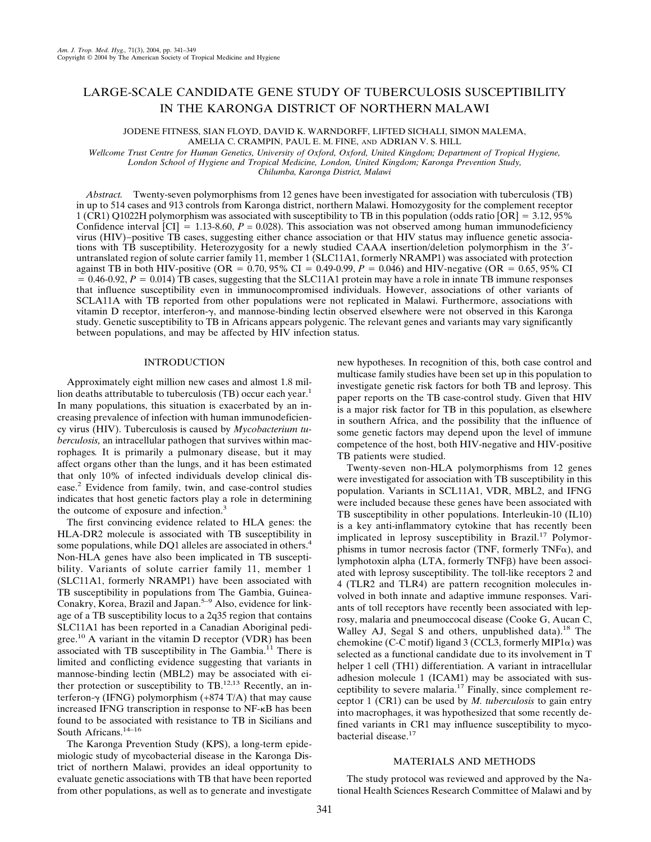# LARGE-SCALE CANDIDATE GENE STUDY OF TUBERCULOSIS SUSCEPTIBILITY IN THE KARONGA DISTRICT OF NORTHERN MALAWI

JODENE FITNESS, SIAN FLOYD, DAVID K. WARNDORFF, LIFTED SICHALI, SIMON MALEMA, AMELIA C. CRAMPIN, PAUL E. M. FINE, AND ADRIAN V. S. HILL

*Wellcome Trust Centre for Human Genetics, University of Oxford, Oxford, United Kingdom; Department of Tropical Hygiene, London School of Hygiene and Tropical Medicine, London, United Kingdom; Karonga Prevention Study, Chilumba, Karonga District, Malawi*

*Abstract.* Twenty-seven polymorphisms from 12 genes have been investigated for association with tuberculosis (TB) in up to 514 cases and 913 controls from Karonga district, northern Malawi. Homozygosity for the complement receptor 1 (CR1) Q1022H polymorphism was associated with susceptibility to TB in this population (odds ratio  $[OR] = 3.12, 95\%$ Confidence interval  $\text{[CI]} = 1.13\text{-}8.60$ ,  $P = 0.028$ ). This association was not observed among human immunodeficiency virus (HIV)−positive TB cases, suggesting either chance association or that HIV status may influence genetic associations with TB susceptibility. Heterozygosity for a newly studied CAAA insertion/deletion polymorphism in the 3- untranslated region of solute carrier family 11, member 1 (SLC11A1, formerly NRAMP1) was associated with protection against TB in both HIV-positive (OR =  $0.70$ , 95% CI =  $0.49$ -0.99, *P* =  $0.046$ ) and HIV-negative (OR =  $0.65$ , 95% CI  $= 0.46-0.92$ ,  $P = 0.014$ ) TB cases, suggesting that the SLC11A1 protein may have a role in innate TB immune responses that influence susceptibility even in immunocompromised individuals. However, associations of other variants of SCLA11A with TB reported from other populations were not replicated in Malawi. Furthermore, associations with vitamin D receptor, interferon- $\gamma$ , and mannose-binding lectin observed elsewhere were not observed in this Karonga study. Genetic susceptibility to TB in Africans appears polygenic. The relevant genes and variants may vary significantly between populations, and may be affected by HIV infection status.

## INTRODUCTION

Approximately eight million new cases and almost 1.8 million deaths attributable to tuberculosis (TB) occur each year.<sup>1</sup> In many populations, this situation is exacerbated by an increasing prevalence of infection with human immunodeficiency virus (HIV). Tuberculosis is caused by *Mycobacterium tuberculosis,* an intracellular pathogen that survives within macrophages*.* It is primarily a pulmonary disease, but it may affect organs other than the lungs, and it has been estimated that only 10% of infected individuals develop clinical disease.2 Evidence from family, twin, and case-control studies indicates that host genetic factors play a role in determining the outcome of exposure and infection.<sup>3</sup>

The first convincing evidence related to HLA genes: the HLA-DR2 molecule is associated with TB susceptibility in some populations, while DQ1 alleles are associated in others.<sup>4</sup> Non-HLA genes have also been implicated in TB susceptibility. Variants of solute carrier family 11, member 1 (SLC11A1, formerly NRAMP1) have been associated with TB susceptibility in populations from The Gambia, Guinea-Conakry, Korea, Brazil and Japan.<sup>5–9</sup> Also, evidence for linkage of a TB susceptibility locus to a 2q35 region that contains SLC11A1 has been reported in a Canadian Aboriginal pedigree.<sup>10</sup> A variant in the vitamin D receptor (VDR) has been associated with TB susceptibility in The Gambia.<sup>11</sup> There is limited and conflicting evidence suggesting that variants in mannose-binding lectin (MBL2) may be associated with either protection or susceptibility to  $TB$ .<sup>12,13</sup> Recently, an interferon- $\gamma$  (IFNG) polymorphism (+874 T/A) that may cause increased IFNG transcription in response to NF--B has been found to be associated with resistance to TB in Sicilians and South Africans.<sup>14-16</sup>

The Karonga Prevention Study (KPS), a long-term epidemiologic study of mycobacterial disease in the Karonga District of northern Malawi, provides an ideal opportunity to evaluate genetic associations with TB that have been reported from other populations, as well as to generate and investigate new hypotheses. In recognition of this, both case control and multicase family studies have been set up in this population to investigate genetic risk factors for both TB and leprosy. This paper reports on the TB case-control study. Given that HIV is a major risk factor for TB in this population, as elsewhere in southern Africa, and the possibility that the influence of some genetic factors may depend upon the level of immune competence of the host, both HIV-negative and HIV-positive TB patients were studied.

Twenty-seven non-HLA polymorphisms from 12 genes were investigated for association with TB susceptibility in this population. Variants in SCL11A1, VDR, MBL2, and IFNG were included because these genes have been associated with TB susceptibility in other populations. Interleukin-10 (IL10) is a key anti-inflammatory cytokine that has recently been implicated in leprosy susceptibility in Brazil.<sup>17</sup> Polymorphisms in tumor necrosis factor (TNF, formerly TNF $\alpha$ ), and lymphotoxin alpha (LTA, formerly TNF<sub>B</sub>) have been associated with leprosy susceptibility. The toll-like receptors 2 and 4 (TLR2 and TLR4) are pattern recognition molecules involved in both innate and adaptive immune responses. Variants of toll receptors have recently been associated with leprosy, malaria and pneumoccocal disease (Cooke G, Aucan C, Walley AJ, Segal S and others, unpublished data).<sup>18</sup> The chemokine (C-C motif) ligand 3 (CCL3, formerly MIP1 $\alpha$ ) was selected as a functional candidate due to its involvement in T helper 1 cell (TH1) differentiation. A variant in intracellular adhesion molecule 1 (ICAM1) may be associated with susceptibility to severe malaria.<sup>17</sup> Finally, since complement receptor 1 (CR1) can be used by *M. tuberculosis* to gain entry into macrophages, it was hypothesized that some recently defined variants in CR1 may influence susceptibility to mycobacterial disease.17

## MATERIALS AND METHODS

The study protocol was reviewed and approved by the National Health Sciences Research Committee of Malawi and by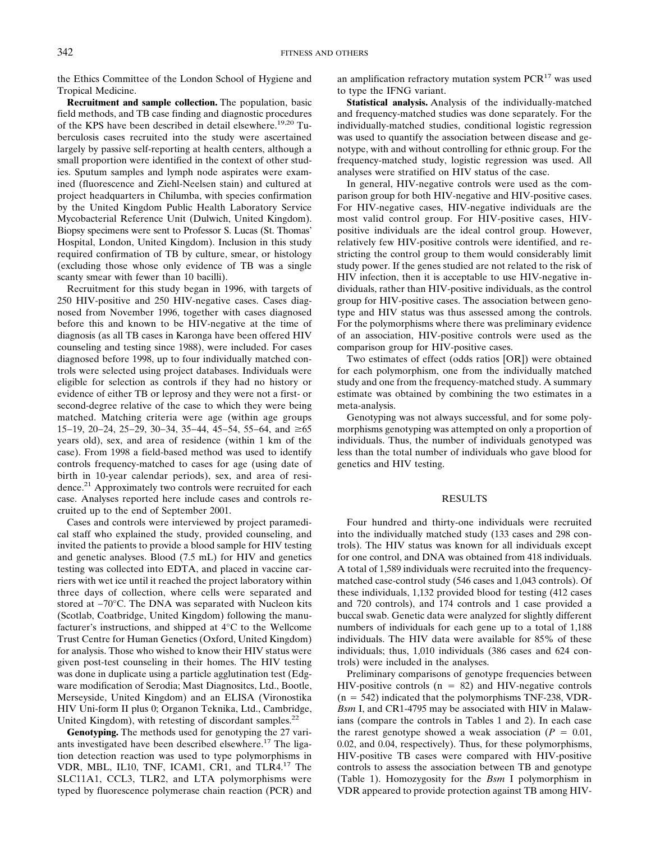the Ethics Committee of the London School of Hygiene and Tropical Medicine.

**Recruitment and sample collection.** The population, basic field methods, and TB case finding and diagnostic procedures of the KPS have been described in detail elsewhere.<sup>19,20</sup> Tuberculosis cases recruited into the study were ascertained largely by passive self-reporting at health centers, although a small proportion were identified in the context of other studies. Sputum samples and lymph node aspirates were examined (fluorescence and Ziehl-Neelsen stain) and cultured at project headquarters in Chilumba, with species confirmation by the United Kingdom Public Health Laboratory Service Mycobacterial Reference Unit (Dulwich, United Kingdom). Biopsy specimens were sent to Professor S. Lucas (St. Thomas' Hospital, London, United Kingdom). Inclusion in this study required confirmation of TB by culture, smear, or histology (excluding those whose only evidence of TB was a single scanty smear with fewer than 10 bacilli).

Recruitment for this study began in 1996, with targets of 250 HIV-positive and 250 HIV-negative cases. Cases diagnosed from November 1996, together with cases diagnosed before this and known to be HIV-negative at the time of diagnosis (as all TB cases in Karonga have been offered HIV counseling and testing since 1988), were included. For cases diagnosed before 1998, up to four individually matched controls were selected using project databases. Individuals were eligible for selection as controls if they had no history or evidence of either TB or leprosy and they were not a first- or second-degree relative of the case to which they were being matched. Matching criteria were age (within age groups 15−19, 20−24, 25−29, 30−34, 35−44, 45−54, 55−64, and ≥65 years old), sex, and area of residence (within 1 km of the case). From 1998 a field-based method was used to identify controls frequency-matched to cases for age (using date of birth in 10-year calendar periods), sex, and area of residence.21 Approximately two controls were recruited for each case. Analyses reported here include cases and controls recruited up to the end of September 2001.

Cases and controls were interviewed by project paramedical staff who explained the study, provided counseling, and invited the patients to provide a blood sample for HIV testing and genetic analyses. Blood (7.5 mL) for HIV and genetics testing was collected into EDTA, and placed in vaccine carriers with wet ice until it reached the project laboratory within three days of collection, where cells were separated and stored at −70°C. The DNA was separated with Nucleon kits (Scotlab, Coatbridge, United Kingdom) following the manufacturer's instructions, and shipped at 4°C to the Wellcome Trust Centre for Human Genetics (Oxford, United Kingdom) for analysis. Those who wished to know their HIV status were given post-test counseling in their homes. The HIV testing was done in duplicate using a particle agglutination test (Edgware modification of Serodia; Mast Diagnositcs, Ltd., Bootle, Merseyside, United Kingdom) and an ELISA (Vironostika HIV Uni-form II plus 0; Organon Teknika, Ltd., Cambridge, United Kingdom), with retesting of discordant samples. $^{22}$ 

**Genotyping.** The methods used for genotyping the 27 variants investigated have been described elsewhere.<sup>17</sup> The ligation detection reaction was used to type polymorphisms in VDR, MBL, IL10, TNF, ICAM1, CR1, and TLR4.<sup>17</sup> The SLC11A1, CCL3, TLR2, and LTA polymorphisms were typed by fluorescence polymerase chain reaction (PCR) and an amplification refractory mutation system  $PCR^{17}$  was used to type the IFNG variant.

**Statistical analysis.** Analysis of the individually-matched and frequency-matched studies was done separately. For the individually-matched studies, conditional logistic regression was used to quantify the association between disease and genotype, with and without controlling for ethnic group. For the frequency-matched study, logistic regression was used. All analyses were stratified on HIV status of the case.

In general, HIV-negative controls were used as the comparison group for both HIV-negative and HIV-positive cases. For HIV-negative cases, HIV-negative individuals are the most valid control group. For HIV-positive cases, HIVpositive individuals are the ideal control group. However, relatively few HIV-positive controls were identified, and restricting the control group to them would considerably limit study power. If the genes studied are not related to the risk of HIV infection, then it is acceptable to use HIV-negative individuals, rather than HIV-positive individuals, as the control group for HIV-positive cases. The association between genotype and HIV status was thus assessed among the controls. For the polymorphisms where there was preliminary evidence of an association, HIV-positive controls were used as the comparison group for HIV-positive cases.

Two estimates of effect (odds ratios [OR]) were obtained for each polymorphism, one from the individually matched study and one from the frequency-matched study. A summary estimate was obtained by combining the two estimates in a meta-analysis.

Genotyping was not always successful, and for some polymorphisms genotyping was attempted on only a proportion of individuals. Thus, the number of individuals genotyped was less than the total number of individuals who gave blood for genetics and HIV testing.

#### RESULTS

Four hundred and thirty-one individuals were recruited into the individually matched study (133 cases and 298 controls). The HIV status was known for all individuals except for one control, and DNA was obtained from 418 individuals. A total of 1,589 individuals were recruited into the frequencymatched case-control study (546 cases and 1,043 controls). Of these individuals, 1,132 provided blood for testing (412 cases and 720 controls), and 174 controls and 1 case provided a buccal swab. Genetic data were analyzed for slightly different numbers of individuals for each gene up to a total of 1,188 individuals. The HIV data were available for 85% of these individuals; thus, 1,010 individuals (386 cases and 624 controls) were included in the analyses.

Preliminary comparisons of genotype frequencies between HIV-positive controls  $(n = 82)$  and HIV-negative controls  $(n = 542)$  indicated that the polymorphisms TNF-238, VDR-*Bsm* I, and CR1-4795 may be associated with HIV in Malawians (compare the controls in Tables 1 and 2). In each case the rarest genotype showed a weak association ( $P = 0.01$ , 0.02, and 0.04, respectively). Thus, for these polymorphisms, HIV-positive TB cases were compared with HIV-positive controls to assess the association between TB and genotype (Table 1). Homozygosity for the *Bsm* I polymorphism in VDR appeared to provide protection against TB among HIV-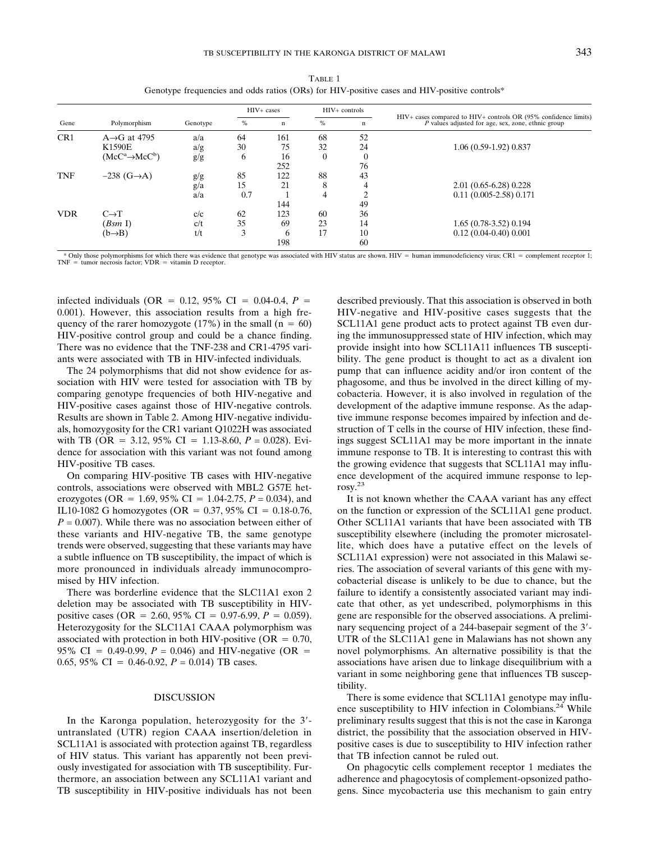| w<br>۰,<br>v<br>× | ł<br>w<br>۰. |
|-------------------|--------------|

| Gene            | Polymorphism                |          |      | HIV+ cases |          | $HIV+$ controls |                                                                                                                       |
|-----------------|-----------------------------|----------|------|------------|----------|-----------------|-----------------------------------------------------------------------------------------------------------------------|
|                 |                             | Genotype | $\%$ | n          | %        | n               | HIV+ cases compared to HIV+ controls OR (95% confidence limits)<br>P values adjusted for age, sex, zone, ethnic group |
| CR <sub>1</sub> | $A \rightarrow G$ at 4795   | a/a      | 64   | 161        | 68       | 52              |                                                                                                                       |
|                 | K1590E                      | a/g      | 30   | 75         | 32       | 24              | 1.06 (0.59-1.92) 0.837                                                                                                |
|                 | $(McC^a \rightarrow McC^b)$ | g/g      | 6    | 16         | $\Omega$ |                 |                                                                                                                       |
|                 |                             |          |      | 252        |          | 76              |                                                                                                                       |
| <b>TNF</b>      | $-238$ (G $\rightarrow$ A)  | g/g      | 85   | 122        | 88       | 43              |                                                                                                                       |
|                 |                             | g/a      | 15   | 21         | 8        |                 | $2.01(0.65-6.28)0.228$                                                                                                |
|                 |                             | a/a      | 0.7  |            | 4        | ◠               | $0.11$ $(0.005 - 2.58)$ $0.171$                                                                                       |
|                 |                             |          |      | 144        |          | 49              |                                                                                                                       |
| <b>VDR</b>      | $C \rightarrow T$           | c/c      | 62   | 123        | 60       | 36              |                                                                                                                       |
|                 | (BsmI)                      | c/t      | 35   | 69         | 23       | 14              | 1.65 (0.78-3.52) 0.194                                                                                                |
|                 | $(b \rightarrow B)$         | t/t      | 3    | 6          | 17       | 10              | $0.12(0.04-0.40)0.001$                                                                                                |
|                 |                             |          |      | 198        |          | 60              |                                                                                                                       |

TABLE 1 Genotype frequencies and odds ratios  $(ORs)$  for HIV-positive cases and HIV-positive controls\*

\* Only those polymorphisms for which there was evidence that genotype was associated with HIV status are shown. HIV = human immunodeficiency virus; CR1 = complement receptor 1;  $TNF =$  tumor necrosis factor;  $VDR =$  vitamin D receptor.

infected individuals (OR =  $0.12$ , 95% CI =  $0.04-0.4$ , *P* = 0.001). However, this association results from a high frequency of the rarer homozygote (17%) in the small ( $n = 60$ ) HIV-positive control group and could be a chance finding. There was no evidence that the TNF-238 and CR1-4795 variants were associated with TB in HIV-infected individuals.

The 24 polymorphisms that did not show evidence for association with HIV were tested for association with TB by comparing genotype frequencies of both HIV-negative and HIV-positive cases against those of HIV-negative controls. Results are shown in Table 2. Among HIV-negative individuals, homozygosity for the CR1 variant Q1022H was associated with TB (OR = 3.12, 95% CI = 1.13-8.60,  $P = 0.028$ ). Evidence for association with this variant was not found among HIV-positive TB cases.

On comparing HIV-positive TB cases with HIV-negative controls, associations were observed with MBL2 G57E heterozygotes (OR = 1.69, 95% CI = 1.04-2.75,  $P = 0.034$ ), and IL10-1082 G homozygotes (OR =  $0.37, 95\%$  CI = 0.18-0.76, *P =* 0.007). While there was no association between either of these variants and HIV-negative TB, the same genotype trends were observed, suggesting that these variants may have a subtle influence on TB susceptibility, the impact of which is more pronounced in individuals already immunocompromised by HIV infection.

There was borderline evidence that the SLC11A1 exon 2 deletion may be associated with TB susceptibility in HIVpositive cases (OR = 2.60, 95% CI = 0.97-6.99,  $P = 0.059$ ). Heterozygosity for the SLC11A1 CAAA polymorphism was associated with protection in both HIV-positive ( $OR = 0.70$ , 95% CI = 0.49-0.99,  $P = 0.046$ ) and HIV-negative (OR = 0.65, 95% CI = 0.46-0.92,  $P = 0.014$ ) TB cases.

#### DISCUSSION

In the Karonga population, heterozygosity for the 3'untranslated (UTR) region CAAA insertion/deletion in SCL11A1 is associated with protection against TB, regardless of HIV status. This variant has apparently not been previously investigated for association with TB susceptibility. Furthermore, an association between any SCL11A1 variant and TB susceptibility in HIV-positive individuals has not been

described previously. That this association is observed in both HIV-negative and HIV-positive cases suggests that the SCL11A1 gene product acts to protect against TB even during the immunosuppressed state of HIV infection, which may provide insight into how SCL11A11 influences TB susceptibility. The gene product is thought to act as a divalent ion pump that can influence acidity and/or iron content of the phagosome, and thus be involved in the direct killing of mycobacteria. However, it is also involved in regulation of the development of the adaptive immune response. As the adaptive immune response becomes impaired by infection and destruction of T cells in the course of HIV infection, these findings suggest SCL11A1 may be more important in the innate immune response to TB. It is interesting to contrast this with the growing evidence that suggests that SCL11A1 may influence development of the acquired immune response to leprosy.23

It is not known whether the CAAA variant has any effect on the function or expression of the SCL11A1 gene product. Other SCL11A1 variants that have been associated with TB susceptibility elsewhere (including the promoter microsatellite, which does have a putative effect on the levels of SCL11A1 expression) were not associated in this Malawi series. The association of several variants of this gene with mycobacterial disease is unlikely to be due to chance, but the failure to identify a consistently associated variant may indicate that other, as yet undescribed, polymorphisms in this gene are responsible for the observed associations. A preliminary sequencing project of a 244-basepair segment of the 3'-UTR of the SLC11A1 gene in Malawians has not shown any novel polymorphisms. An alternative possibility is that the associations have arisen due to linkage disequilibrium with a variant in some neighboring gene that influences TB susceptibility.

There is some evidence that SCL11A1 genotype may influence susceptibility to HIV infection in Colombians.<sup>24</sup> While preliminary results suggest that this is not the case in Karonga district, the possibility that the association observed in HIVpositive cases is due to susceptibility to HIV infection rather that TB infection cannot be ruled out.

On phagocytic cells complement receptor 1 mediates the adherence and phagocytosis of complement-opsonized pathogens. Since mycobacteria use this mechanism to gain entry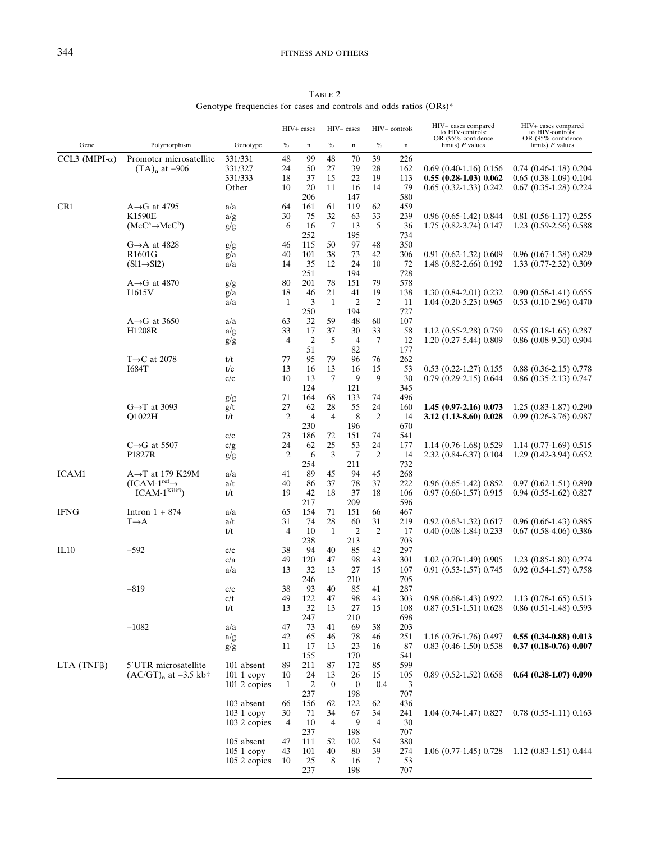TABLE 2 Genotype frequencies for cases and controls and odds ratios (ORs)\*

|                        |                                            |                           | HIV+ cases     |                      | HIV-cases            |                  | HIV-controls   |             | HIV-cases compared<br>to HIV-controls:                       | HIV+ cases compared<br>to HIV-controls:<br>OR (95% confidence |
|------------------------|--------------------------------------------|---------------------------|----------------|----------------------|----------------------|------------------|----------------|-------------|--------------------------------------------------------------|---------------------------------------------------------------|
| Gene                   | Polymorphism                               | Genotype                  | $\%$           | $\mathbf n$          | $\%$                 | $\mathbf n$      | $\%$           | $\mathbf n$ | OR (95% confidence<br>limits) $P$ values                     | limits) $P$ values                                            |
| CCL3 (MIPI- $\alpha$ ) | Promoter microsatellite                    | 331/331                   | 48             | 99                   | 48                   | 70               | 39             | 226         |                                                              |                                                               |
|                        | $(TA)_{n}$ at $-906$                       | 331/327                   | 24             | 50                   | 27                   | 39               | 28             | 162         | $0.69$ $(0.40-1.16)$ $0.156$                                 | $0.74$ $(0.46-1.18)$ $0.204$                                  |
|                        |                                            | 331/333<br>Other          | 18             | 37<br>20             | 15<br>11             | 22<br>16         | 19<br>14       | 113<br>79   | $0.55(0.28-1.03)0.062$<br>$0.65$ $(0.32-1.33)$ $0.242$       | $0.65$ $(0.38-1.09)$ $0.104$<br>$0.67$ $(0.35-1.28)$ $0.224$  |
|                        |                                            |                           | 10             | 206                  |                      | 147              |                | 580         |                                                              |                                                               |
| CR <sub>1</sub>        | $A \rightarrow G$ at 4795                  | a/a                       | 64             | 161                  | 61                   | 119              | 62             | 459         |                                                              |                                                               |
|                        | <b>K1590E</b>                              | a/g                       | 30             | 75                   | 32                   | 63               | 33             | 239         | $0.96$ $(0.65-1.42)$ $0.844$                                 | $0.81$ $(0.56-1.17)$ $0.255$                                  |
|                        | $(McC^a \rightarrow McC^b)$                | g/g                       | 6              | 16                   | 7                    | 13               | 5              | 36          | 1.75 (0.82-3.74) 0.147                                       | 1.23 (0.59-2.56) 0.588                                        |
|                        |                                            |                           |                | 252                  |                      | 195              |                | 734         |                                                              |                                                               |
|                        | $G \rightarrow A$ at 4828                  | g/g                       | 46             | 115                  | 50                   | 97               | 48             | 350         |                                                              |                                                               |
|                        | R1601G                                     | g/a                       | 40<br>14       | 101<br>35            | 38<br>12             | 73<br>24         | 42<br>10       | 306         | $0.91(0.62-1.32)0.609$                                       | 0.96 (0.67-1.38) 0.829<br>1.33 (0.77-2.32) 0.309              |
|                        | $(S11 \rightarrow S12)$                    | a/a                       |                | 251                  |                      | 194              |                | 72<br>728   | 1.48 (0.82-2.66) 0.192                                       |                                                               |
|                        | $A \rightarrow G$ at 4870                  | g/g                       | 80             | 201                  | 78                   | 151              | 79             | 578         |                                                              |                                                               |
|                        | I1615V                                     | g/a                       | 18             | 46                   | 21                   | 41               | 19             | 138         | $1.30(0.84-2.01)0.232$                                       | $0.90(0.58-1.41)0.655$                                        |
|                        |                                            | a/a                       | 1              | 3                    | $\mathbf{1}$         | $\overline{2}$   | 2              | -11         | $1.04$ $(0.20 - 5.23)$ $0.965$                               | $0.53$ (0.10-2.96) 0.470                                      |
|                        |                                            |                           |                | 250                  |                      | 194              |                | 727         |                                                              |                                                               |
|                        | $A \rightarrow G$ at 3650                  | a/a                       | 63             | 32                   | 59                   | 48               | 60             | 107         |                                                              |                                                               |
|                        | H1208R                                     | a/g                       | 33<br>4        | 17<br>$\overline{2}$ | 37<br>5              | 30<br>4          | 33<br>7        | 58<br>12    | 1.12 (0.55-2.28) 0.759<br>1.20 (0.27-5.44) 0.809             | $0.55$ $(0.18-1.65)$ $0.287$<br>0.86 (0.08-9.30) 0.904        |
|                        |                                            | g/g                       |                | 51                   |                      | 82               |                | 177         |                                                              |                                                               |
|                        | $T\rightarrow C$ at 2078                   | t/t                       | 77             | 95                   | 79                   | 96               | 76             | 262         |                                                              |                                                               |
|                        | <b>I684T</b>                               | t/c                       | 13             | 16                   | 13                   | 16               | 15             | 53          | $0.53$ $(0.22 - 1.27)$ $0.155$                               | $0.88$ $(0.36-2.15)$ $0.778$                                  |
|                        |                                            | c/c                       | 10             | 13                   | 7                    | 9                | 9              | 30          | $0.79$ $(0.29-2.15)$ $0.644$                                 | $0.86$ $(0.35-2.13)$ $0.747$                                  |
|                        |                                            |                           |                | 124                  |                      | 121              |                | 345         |                                                              |                                                               |
|                        |                                            | g/g                       | 71             | 164                  | 68                   | 133              | 74             | 496         |                                                              |                                                               |
|                        | $G \rightarrow T$ at 3093<br>Q1022H        | g/t                       | 27<br>2        | 62<br>$\overline{4}$ | 28<br>$\overline{4}$ | 55<br>8          | 24<br>2        | 160         | $1.45(0.97-2.16)0.073$                                       | $1.25(0.83-1.87)0.290$<br>0.99 (0.26-3.76) 0.987              |
|                        |                                            | t/t                       |                | 230                  |                      | 196              |                | 14<br>670   | 3.12 (1.13-8.60) 0.028                                       |                                                               |
|                        |                                            | c/c                       | 73             | 186                  | 72                   | 151              | 74             | 541         |                                                              |                                                               |
|                        | $C \rightarrow G$ at 5507                  | c/g                       | 24             | 62                   | 25                   | 53               | 24             | 177         | 1.14 (0.76-1.68) 0.529                                       | $1.14$ (0.77-1.69) 0.515                                      |
|                        | P1827R                                     | g/g                       | 2              | 6                    | 3                    | $\tau$           | $\overline{c}$ | 14          | 2.32 (0.84-6.37) 0.104                                       | $1.29$ (0.42-3.94) 0.652                                      |
|                        |                                            |                           |                | 254                  |                      | 211              |                | 732         |                                                              |                                                               |
| ICAM1                  | $A \rightarrow T$ at 179 K29M              | a/a                       | 41             | 89                   | 45                   | 94               | 45             | 268         |                                                              |                                                               |
|                        | $(ICAM-1ref\rightarrow$<br>$ICAM-1Kilifi)$ | a/t<br>t/t                | 40<br>19       | 86<br>42             | 37<br>18             | 78<br>37         | 37<br>18       | 222<br>106  | $0.96$ $(0.65-1.42)$ $0.852$<br>$0.97$ $(0.60-1.57)$ $0.915$ | $0.97(0.62 - 1.51)0.890$<br>$0.94$ $(0.55-1.62)$ $0.827$      |
|                        |                                            |                           |                | 217                  |                      | 209              |                | 596         |                                                              |                                                               |
| <b>IFNG</b>            | Intron $1 + 874$                           | a/a                       | 65             | 154                  | 71                   | 151              | 66             | 467         |                                                              |                                                               |
|                        | $T\rightarrow A$                           | a/t                       | 31             | 74                   | 28                   | 60               | 31             | 219         | $0.92$ $(0.63-1.32)$ $0.617$                                 | $0.96(0.66-1.43)0.885$                                        |
|                        |                                            | t/t                       | 4              | 10                   | $\mathbf{1}$         | $\overline{2}$   | $\overline{c}$ | 17          | $0.40$ $(0.08-1.84)$ $0.233$                                 | $0.67$ $(0.58-4.06)$ $0.386$                                  |
|                        |                                            |                           |                | 238                  |                      | 213              |                | 703         |                                                              |                                                               |
| IL10                   | $-592$                                     | c/c                       | 38             | 94                   | 40                   | 85               | 42             | 297         |                                                              |                                                               |
|                        |                                            | c/a<br>a/a                | 49<br>13       | 120<br>32            | 47<br>13             | 98<br>27         | 43<br>15       | 301<br>107  | $1.02$ (0.70-1.49) 0.905<br>$0.91$ $(0.53-1.57)$ $0.745$     | 1.23 (0.85-1.80) 0.274<br>$0.92$ $(0.54-1.57)$ $0.758$        |
|                        |                                            |                           |                | 246                  |                      | 210              |                | 705         |                                                              |                                                               |
|                        | $-819$                                     | c/c                       | 38             | 93                   | 40                   | 85               | 41             | 287         |                                                              |                                                               |
|                        |                                            | c/t                       | 49             | 122                  | 47                   | 98               | 43             | 303         | 0.98 (0.68-1.43) 0.922                                       | 1.13 (0.78-1.65) 0.513                                        |
|                        |                                            | t/t                       | 13             | 32                   | 13                   | 27               | 15             | 108         | $0.87$ $(0.51-1.51)$ $0.628$                                 | $0.86$ $(0.51-1.48)$ $0.593$                                  |
|                        |                                            |                           |                | 247                  |                      | 210              |                | 698         |                                                              |                                                               |
|                        | $-1082$                                    | a/a                       | 47             | 73                   | 41                   | 69               | 38             | 203         | 1.16 (0.76-1.76) 0.497                                       |                                                               |
|                        |                                            | a/g<br>g/g                | 42<br>11       | 65<br>17             | 46<br>13             | 78<br>23         | 46<br>16       | 251<br>87   | $0.83$ $(0.46-1.50)$ $0.538$                                 | $0.55(0.34-0.88)0.013$<br>$0.37$ $(0.18-0.76)$ $0.007$        |
|                        |                                            |                           |                | 155                  |                      | 170              |                | 541         |                                                              |                                                               |
| $LTA$ (TNF $\beta$ )   | 5'UTR microsatellite                       | 101 absent                | 89             | 211                  | 87                   | 172              | 85             | 599         |                                                              |                                                               |
|                        | $(AC/GT)_{n}$ at $-3.5$ kb <sup>+</sup>    | $1011$ copy               | 10             | 24                   | 13                   | 26               | 15             | 105         | $0.89$ $(0.52 - 1.52)$ $0.658$                               | $0.64$ $(0.38-1.07)$ $0.090$                                  |
|                        |                                            | 101 2 copies              | 1              | $\overline{c}$       | $\overline{0}$       | $\boldsymbol{0}$ | 0.4            | 3           |                                                              |                                                               |
|                        |                                            |                           |                | 237                  |                      | 198              |                | 707         |                                                              |                                                               |
|                        |                                            | 103 absent<br>$1031$ copy | 66<br>30       | 156<br>71            | 62<br>34             | 122<br>67        | 62<br>34       | 436<br>241  | $1.04$ (0.74-1.47) 0.827                                     | $0.78$ $(0.55-1.11)$ $0.163$                                  |
|                        |                                            | 103 2 copies              | $\overline{4}$ | 10                   | $\overline{4}$       | 9                | 4              | 30          |                                                              |                                                               |
|                        |                                            |                           |                | 237                  |                      | 198              |                | 707         |                                                              |                                                               |
|                        |                                            | 105 absent                | 47             | 111                  | 52                   | 102              | 54             | 380         |                                                              |                                                               |
|                        |                                            | $1051$ copy               | 43             | 101                  | 40                   | 80               | 39             | 274         | $1.06$ (0.77-1.45) 0.728                                     | $1.12(0.83-1.51)0.444$                                        |
|                        |                                            | 105 2 copies              | 10             | 25                   | 8                    | 16               | 7              | 53          |                                                              |                                                               |
|                        |                                            |                           |                | 237                  |                      | 198              |                | 707         |                                                              |                                                               |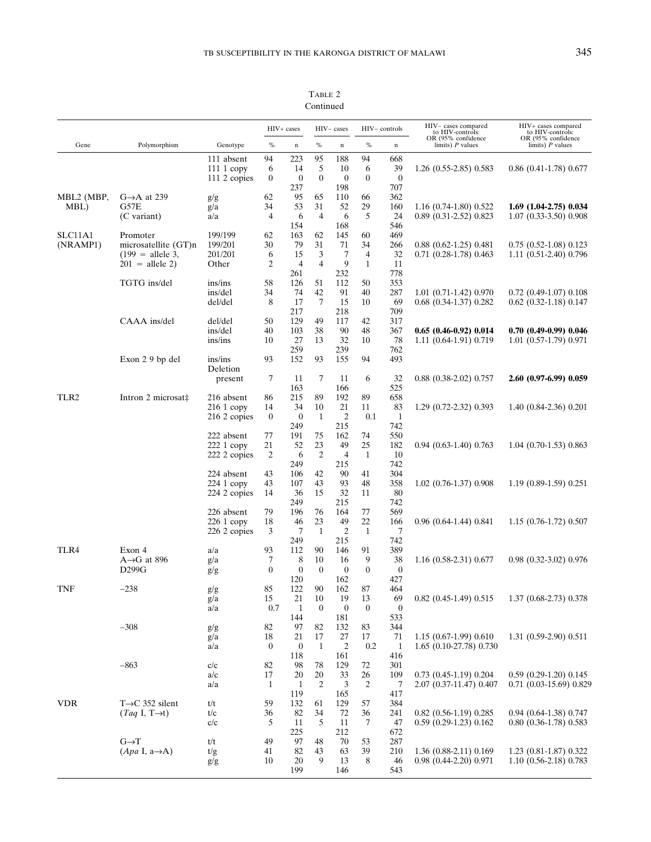TABLE 2 Continued

|                     |                                  |                          | HIV+ cases       |                         | HIV-cases      |                       | HIV-controls   |                     | HIV-cases compared<br>to HIV-controls:                 | HIV+ cases compared<br>to HIV-controls:  |
|---------------------|----------------------------------|--------------------------|------------------|-------------------------|----------------|-----------------------|----------------|---------------------|--------------------------------------------------------|------------------------------------------|
| Gene                | Polymorphism                     | Genotype                 | $\%$             | $\mathbf n$             | $\%$           | $\mathbf n$           | $\%$           | $\mathbf n$         | OR (95% confidence<br>limits) $P$ values               | OR (95% confidence<br>limits) $P$ values |
|                     |                                  | 111 absent               | 94               | 223                     | 95             | 188                   | 94             | 668                 |                                                        |                                          |
|                     |                                  | $1111$ copy              | 6                | 14                      | 5              | 10                    | 6              | 39                  | 1.26 (0.55-2.85) 0.583                                 | $0.86$ $(0.41-1.78)$ $0.677$             |
|                     |                                  | 111 2 copies             | $\boldsymbol{0}$ | $\boldsymbol{0}$        | $\overline{0}$ | $\mathbf{0}$          | $\mathbf{0}$   | $\boldsymbol{0}$    |                                                        |                                          |
| MBL2 (MBP,          | $G \rightarrow A$ at 239         | g/g                      | 62               | 237<br>95               | 65             | 198<br>110            | 66             | 707<br>362          |                                                        |                                          |
| MBL)                | G57E                             | g/a                      | 34               | 53                      | 31             | 52                    | 29             | 160                 | $1.16$ (0.74-1.80) 0.522                               | $1.69$ $(1.04-2.75)$ $0.034$             |
|                     | (C variant)                      | a/a                      | 4                | 6                       | $\overline{4}$ | 6                     | 5              | 24                  | 0.89 (0.31-2.52) 0.823                                 | 1.07 (0.33-3.50) 0.908                   |
|                     |                                  |                          |                  | 154                     |                | 168                   |                | 546                 |                                                        |                                          |
| SLC11A1<br>(NRAMP1) | Promoter<br>microsatellite (GT)n | 199/199<br>199/201       | 62<br>30         | 163<br>79               | 62<br>31       | 145<br>71             | 60<br>34       | 469<br>266          | $0.88$ $(0.62-1.25)$ $0.481$                           | $0.75$ $(0.52-1.08)$ $0.123$             |
|                     | $(199)$ = allele 3,              | 201/201                  | 6                | 15                      | 3              | 7                     | 4              | 32                  | $0.71$ $(0.28-1.78)$ $0.463$                           | $1.11$ $(0.51-2.40)$ $0.796$             |
|                     | $201 =$ allele 2)                | Other                    | 2                | $\overline{4}$          | 4              | 9                     | $\mathbf{1}$   | 11                  |                                                        |                                          |
|                     |                                  |                          |                  | 261                     |                | 232                   |                | 778                 |                                                        |                                          |
|                     | TGTG ins/del                     | ins/ins                  | 58               | 126                     | 51             | 112                   | 50             | 353                 |                                                        |                                          |
|                     |                                  | ins/del                  | 34               | 74                      | 42             | 91                    | 40             | 287                 | $1.01$ $(0.71-1.42)$ $0.970$                           | $0.72$ (0.49-1.07) 0.108                 |
|                     |                                  | del/del                  | 8                | 17<br>217               | 7              | 15<br>218             | 10             | 69<br>709           | $0.68$ $(0.34-1.37)$ $0.282$                           | $0.62$ $(0.32-1.18)$ $0.147$             |
|                     | CAAA ins/del                     | del/del                  | 50               | 129                     | 49             | 117                   | 42             | 317                 |                                                        |                                          |
|                     |                                  | ins/del                  | 40               | 103                     | 38             | 90                    | 48             | 367                 | $0.65(0.46-0.92)0.014$                                 | $0.70(0.49-0.99)0.046$                   |
|                     |                                  | ins/ins                  | 10               | 27                      | 13             | 32                    | 10             | 78                  | 1.11 (0.64-1.91) 0.719                                 | 1.01 (0.57-1.79) 0.971                   |
|                     |                                  |                          |                  | 259                     |                | 239                   |                | 762                 |                                                        |                                          |
|                     | Exon 29 bp del                   | ins/ins                  | 93               | 152                     | 93             | 155                   | 94             | 493                 |                                                        |                                          |
|                     |                                  | Deletion<br>present      | 7                | -11                     | 7              | 11                    | 6              | 32                  | $0.88$ $(0.38-2.02)$ $0.757$                           | 2.60 (0.97-6.99) 0.059                   |
|                     |                                  |                          |                  | 163                     |                | 166                   |                | 525                 |                                                        |                                          |
| TLR <sub>2</sub>    | Intron 2 microsat‡               | 216 absent               | 86               | 215                     | 89             | 192                   | 89             | 658                 |                                                        |                                          |
|                     |                                  | $2161$ copy              | 14               | 34                      | 10             | 21                    | 11             | 83                  | 1.29 (0.72-2.32) 0.393                                 | 1.40 (0.84-2.36) 0.201                   |
|                     |                                  | 216 2 copies             | $\boldsymbol{0}$ | $\mathbf{0}$            | 1              | $\overline{2}$        | 0.1            | $\mathbf{1}$        |                                                        |                                          |
|                     |                                  |                          |                  | 249                     |                | 215                   |                | 742                 |                                                        |                                          |
|                     |                                  | 222 absent<br>222 1 copy | 77<br>21         | 191<br>52               | 75<br>23       | 162<br>49             | 74<br>25       | 550<br>182          | $0.94$ $(0.63-1.40)$ $0.763$                           | $1.04$ (0.70-1.53) 0.863                 |
|                     |                                  | 222 2 copies             | $\overline{2}$   | 6                       | 2              | $\overline{4}$        | $\mathbf{1}$   | 10                  |                                                        |                                          |
|                     |                                  |                          |                  | 249                     |                | 215                   |                | 742                 |                                                        |                                          |
|                     |                                  | 224 absent               | 43               | 106                     | 42             | 90                    | 41             | 304                 |                                                        |                                          |
|                     |                                  | $2241$ copy              | 43               | 107                     | 43             | 93                    | 48             | 358                 | $1.02$ (0.76-1.37) 0.908                               | $1.19(0.89-1.59)0.251$                   |
|                     |                                  | 224 2 copies             | 14               | 36                      | 15             | 32                    | 11             | 80                  |                                                        |                                          |
|                     |                                  | 226 absent               | 79               | 249<br>196              | 76             | 215<br>164            | 77             | 742<br>569          |                                                        |                                          |
|                     |                                  | 226 1 copy               | 18               | 46                      | 23             | 49                    | 22             | 166                 | $0.96$ $(0.64-1.44)$ $0.841$                           | $1.15(0.76-1.72)0.507$                   |
|                     |                                  | 226 2 copies             | 3                | 7                       | 1              | $\overline{c}$        | 1              | 7                   |                                                        |                                          |
|                     |                                  |                          |                  | 249                     |                | 215                   |                | 742                 |                                                        |                                          |
| TLR4                | Exon 4                           | a/a                      | 93               | 112                     | 90             | 146                   | 91             | 389                 |                                                        |                                          |
|                     | $A \rightarrow G$ at 896         | g/a                      | 7                | 8                       | 10             | 16                    | 9              | 38                  | $1.16$ $(0.58-2.31)$ $0.677$                           | $0.98$ $(0.32-3.02)$ $0.976$             |
|                     | D299G                            | g/g                      | $\overline{0}$   | $\boldsymbol{0}$<br>120 | $\theta$       | $\mathbf{0}$<br>162   | $\overline{0}$ | $\mathbf{0}$<br>427 |                                                        |                                          |
| <b>TNF</b>          | $-238$                           | g/g                      | 85               | 122                     | 90             | 162                   | 87             | 464                 |                                                        |                                          |
|                     |                                  | g/a                      | 15               | 21                      | 10             | 19                    | 13             | 69                  | $0.82$ (0.45-1.49) 0.515                               | 1.37 (0.68-2.73) 0.378                   |
|                     |                                  | a/a                      | 0.7              | $\mathbf{1}$            | $\bf{0}$       | $\boldsymbol{0}$      | $\bf{0}$       | $\boldsymbol{0}$    |                                                        |                                          |
|                     |                                  |                          |                  | 144                     |                | 181                   |                | 533                 |                                                        |                                          |
|                     | $-308$                           | g/g                      | 82               | 97                      | 82             | 132                   | 83             | 344                 |                                                        |                                          |
|                     |                                  | g/a                      | 18               | 21<br>$\boldsymbol{0}$  | 17             | 27                    | 17<br>0.2      | 71<br>$\mathbf{1}$  | $1.15(0.67-1.99)0.610$                                 | 1.31 (0.59-2.90) 0.511                   |
|                     |                                  | a/a                      | $\boldsymbol{0}$ | 118                     | 1              | $\overline{c}$<br>161 |                | 416                 | 1.65 (0.10-27.78) 0.730                                |                                          |
|                     | $-863$                           | c/c                      | 82               | 98                      | 78             | 129                   | 72             | 301                 |                                                        |                                          |
|                     |                                  | a/c                      | 17               | 20                      | 20             | 33                    | 26             | 109                 | $0.73$ $(0.45-1.19)$ $0.204$                           | $0.59$ $(0.29-1.20)$ $0.145$             |
|                     |                                  | a/a                      | $\mathbf{1}$     | $\mathbf{1}$            | $\overline{2}$ | 3                     | $\overline{c}$ | 7                   | 2.07 (0.37-11.47) 0.407                                | $0.71$ $(0.03-15.69)$ $0.829$            |
|                     |                                  |                          |                  | 119                     |                | 165                   |                | 417                 |                                                        |                                          |
| <b>VDR</b>          | $T\rightarrow C$ 352 silent      | t/t                      | 59               | 132                     | 61             | 129                   | 57             | 384                 |                                                        | $0.94$ $(0.64-1.38)$ $0.747$             |
|                     | $(Taq I, T\rightarrow t)$        | t/c<br>c/c               | 36<br>5          | 82<br>11                | 34<br>5        | 72<br>11              | 36<br>7        | 241<br>47           | $0.82$ $(0.56-1.19)$ $0.285$<br>$0.59(0.29-1.23)0.162$ | $0.80$ $(0.36-1.78)$ $0.583$             |
|                     |                                  |                          |                  | 225                     |                | 212                   |                | 672                 |                                                        |                                          |
|                     | $G \rightarrow T$                | t/t                      | 49               | 97                      | 48             | 70                    | 53             | 287                 |                                                        |                                          |
|                     | $(Apa I, a \rightarrow A)$       | t/g                      | 41               | 82                      | 43             | 63                    | 39             | 210                 | 1.36 (0.88-2.11) 0.169                                 | 1.23 (0.81-1.87) 0.322                   |
|                     |                                  | g/g                      | 10               | 20                      | 9              | 13                    | 8              | 46                  | $0.98$ $(0.44 - 2.20)$ $0.971$                         | 1.10 (0.56-2.18) 0.783                   |
|                     |                                  |                          |                  | 199                     |                | 146                   |                | 543                 |                                                        |                                          |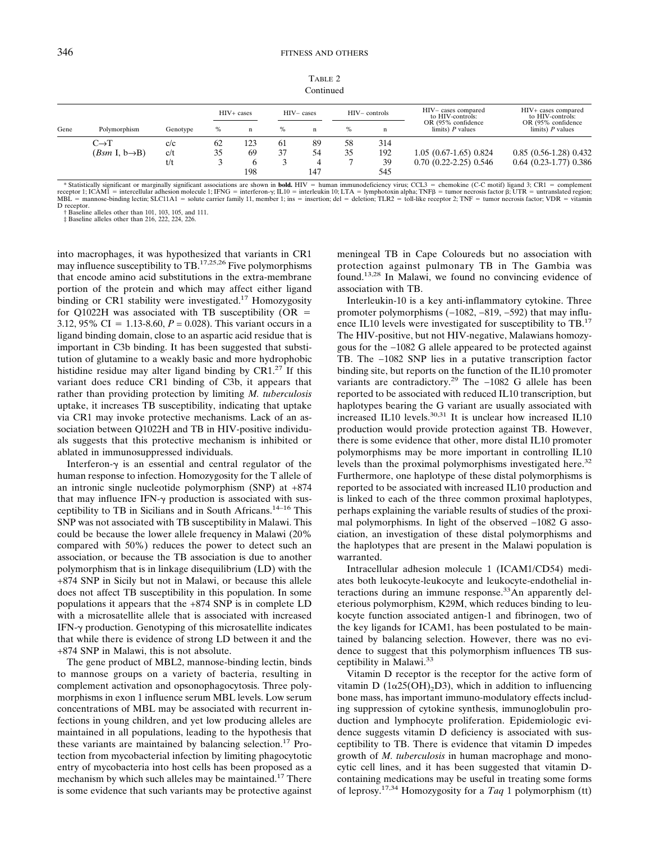| TABLE <sub>2</sub> |
|--------------------|
| Continued          |

| Gene | Polymorphism                  | Genotype | $HIV+ cases$ |             | $HIV - cases$ |     | $HIV-$ controls |     | HIV-cases compared<br>to HIV-controls:    | HIV+ cases compared<br>to HIV-controls:   |
|------|-------------------------------|----------|--------------|-------------|---------------|-----|-----------------|-----|-------------------------------------------|-------------------------------------------|
|      |                               |          | $\%$         | $\mathbf n$ | $\%$          | n   | $\%$            | n   | OR (95% confidence)<br>limits) $P$ values | OR (95% confidence)<br>limits) $P$ values |
|      | $C \rightarrow T$             | c/c      | -62          | 23          | 61            | 89  | 58              | 314 |                                           |                                           |
|      | $(Bsm \, I, b \rightarrow B)$ | c/t      | 35           | 69          | 37            | 54  | 35              | 192 | $1.05(0.67-1.65)0.824$                    | $0.85$ $(0.56-1.28)$ $0.432$              |
|      |                               | t/t      |              |             |               | 4   |                 | 39  | $0.70$ $(0.22 - 2.25)$ $0.546$            | $0.64$ $(0.23-1.77)$ $0.386$              |
|      |                               |          |              | 198         |               | 147 |                 | 545 |                                           |                                           |

Statistically significant or marginally significant associations are shown in **bold.** HIV = human immunodeficiency virus; CCL3 = chemokine (C-C motif) ligand 3; CR1 = complement<br>receptor 1; ICAMI = intercellular adhesion m

D receptor. † Baseline alleles other than 101, 103, 105, and 111. ‡ Baseline alleles other than 216, 222, 224, 226.

into macrophages, it was hypothesized that variants in CR1 may influence susceptibility to TB.17,25,26 Five polymorphisms that encode amino acid substitutions in the extra-membrane portion of the protein and which may affect either ligand binding or CR1 stability were investigated.<sup>17</sup> Homozygosity for Q1022H was associated with TB susceptibility (OR  $=$ 3.12, 95% CI = 1.13-8.60,  $P = 0.028$ ). This variant occurs in a ligand binding domain, close to an aspartic acid residue that is important in C3b binding. It has been suggested that substitution of glutamine to a weakly basic and more hydrophobic histidine residue may alter ligand binding by  $CRI<sup>27</sup>$  If this variant does reduce CR1 binding of C3b, it appears that rather than providing protection by limiting *M. tuberculosis* uptake, it increases TB susceptibility, indicating that uptake via CR1 may invoke protective mechanisms. Lack of an association between Q1022H and TB in HIV-positive individuals suggests that this protective mechanism is inhibited or ablated in immunosuppressed individuals.

Interferon- $\gamma$  is an essential and central regulator of the human response to infection. Homozygosity for the T allele of an intronic single nucleotide polymorphism (SNP) at +874 that may influence IFN- $\gamma$  production is associated with susceptibility to TB in Sicilians and in South Africans.14–16 This SNP was not associated with TB susceptibility in Malawi. This could be because the lower allele frequency in Malawi (20% compared with 50%) reduces the power to detect such an association, or because the TB association is due to another polymorphism that is in linkage disequilibrium (LD) with the +874 SNP in Sicily but not in Malawi, or because this allele does not affect TB susceptibility in this population. In some populations it appears that the +874 SNP is in complete LD with a microsatellite allele that is associated with increased  $IFN-\gamma$  production. Genotyping of this microsatellite indicates that while there is evidence of strong LD between it and the +874 SNP in Malawi, this is not absolute.

The gene product of MBL2, mannose-binding lectin, binds to mannose groups on a variety of bacteria, resulting in complement activation and opsonophagocytosis. Three polymorphisms in exon 1 influence serum MBL levels. Low serum concentrations of MBL may be associated with recurrent infections in young children, and yet low producing alleles are maintained in all populations, leading to the hypothesis that these variants are maintained by balancing selection.<sup>17</sup> Protection from mycobacterial infection by limiting phagocytotic entry of mycobacteria into host cells has been proposed as a mechanism by which such alleles may be maintained.<sup>17</sup> There is some evidence that such variants may be protective against meningeal TB in Cape Coloureds but no association with protection against pulmonary TB in The Gambia was found.13,28 In Malawi, we found no convincing evidence of association with TB.

Interleukin-10 is a key anti-inflammatory cytokine. Three promoter polymorphisms (-1082, -819, -592) that may influence IL10 levels were investigated for susceptibility to TB.<sup>17</sup> The HIV-positive, but not HIV-negative, Malawians homozygous for the −1082 G allele appeared to be protected against TB. The −1082 SNP lies in a putative transcription factor binding site, but reports on the function of the IL10 promoter variants are contradictory.29 The −1082 G allele has been reported to be associated with reduced IL10 transcription, but haplotypes bearing the G variant are usually associated with increased IL10 levels.30,31 It is unclear how increased IL10 production would provide protection against TB. However, there is some evidence that other, more distal IL10 promoter polymorphisms may be more important in controlling IL10 levels than the proximal polymorphisms investigated here.<sup>32</sup> Furthermore, one haplotype of these distal polymorphisms is reported to be associated with increased IL10 production and is linked to each of the three common proximal haplotypes, perhaps explaining the variable results of studies of the proximal polymorphisms. In light of the observed −1082 G association, an investigation of these distal polymorphisms and the haplotypes that are present in the Malawi population is warranted.

Intracellular adhesion molecule 1 (ICAM1/CD54) mediates both leukocyte-leukocyte and leukocyte-endothelial interactions during an immune response.<sup>33</sup>An apparently deleterious polymorphism, K29M, which reduces binding to leukocyte function associated antigen-1 and fibrinogen, two of the key ligands for ICAM1, has been postulated to be maintained by balancing selection. However, there was no evidence to suggest that this polymorphism influences TB susceptibility in Malawi.33

Vitamin D receptor is the receptor for the active form of vitamin D  $(1\alpha25(OH),D3)$ , which in addition to influencing bone mass, has important immuno-modulatory effects including suppression of cytokine synthesis, immunoglobulin production and lymphocyte proliferation. Epidemiologic evidence suggests vitamin D deficiency is associated with susceptibility to TB. There is evidence that vitamin D impedes growth of *M. tuberculosis* in human macrophage and monocytic cell lines, and it has been suggested that vitamin Dcontaining medications may be useful in treating some forms of leprosy.17,34 Homozygosity for a *Taq* 1 polymorphism (tt)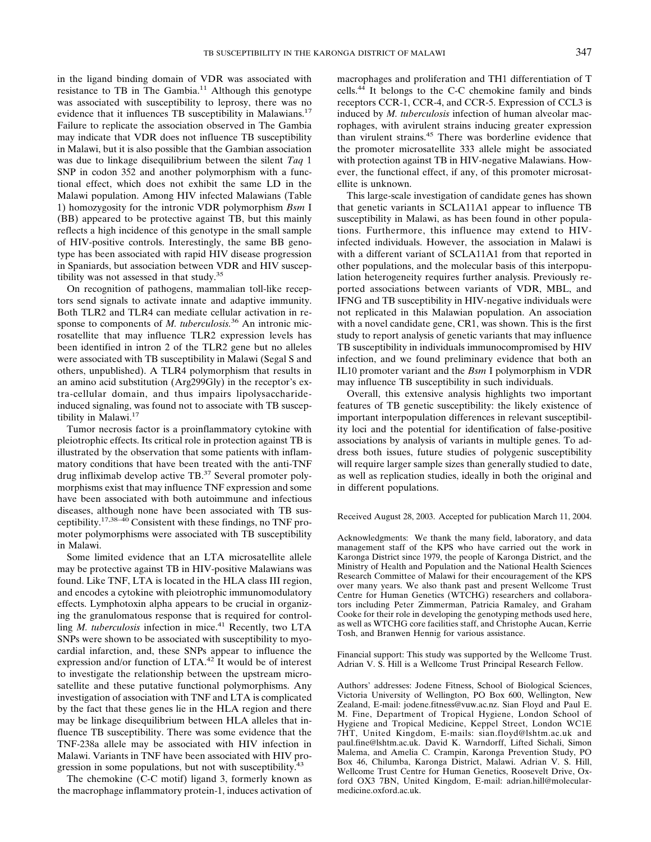in the ligand binding domain of VDR was associated with resistance to TB in The Gambia.<sup>11</sup> Although this genotype was associated with susceptibility to leprosy, there was no evidence that it influences TB susceptibility in Malawians.<sup>17</sup> Failure to replicate the association observed in The Gambia may indicate that VDR does not influence TB susceptibility in Malawi, but it is also possible that the Gambian association was due to linkage disequilibrium between the silent *Taq* 1 SNP in codon 352 and another polymorphism with a functional effect, which does not exhibit the same LD in the Malawi population. Among HIV infected Malawians (Table 1) homozygosity for the intronic VDR polymorphism *Bsm* I (BB) appeared to be protective against TB, but this mainly reflects a high incidence of this genotype in the small sample of HIV-positive controls. Interestingly, the same BB genotype has been associated with rapid HIV disease progression in Spaniards, but association between VDR and HIV susceptibility was not assessed in that study. $35$ 

On recognition of pathogens, mammalian toll-like receptors send signals to activate innate and adaptive immunity. Both TLR2 and TLR4 can mediate cellular activation in response to components of *M. tuberculosis.*<sup>36</sup> An intronic microsatellite that may influence TLR2 expression levels has been identified in intron 2 of the TLR2 gene but no alleles were associated with TB susceptibility in Malawi (Segal S and others, unpublished). A TLR4 polymorphism that results in an amino acid substitution (Arg299Gly) in the receptor's extra-cellular domain, and thus impairs lipolysaccharideinduced signaling, was found not to associate with TB susceptibility in Malawi.17

Tumor necrosis factor is a proinflammatory cytokine with pleiotrophic effects. Its critical role in protection against TB is illustrated by the observation that some patients with inflammatory conditions that have been treated with the anti-TNF drug infliximab develop active TB.37 Several promoter polymorphisms exist that may influence TNF expression and some have been associated with both autoimmune and infectious diseases, although none have been associated with TB susceptibility.17,38–40 Consistent with these findings, no TNF promoter polymorphisms were associated with TB susceptibility in Malawi.

Some limited evidence that an LTA microsatellite allele may be protective against TB in HIV-positive Malawians was found. Like TNF, LTA is located in the HLA class III region, and encodes a cytokine with pleiotrophic immunomodulatory effects. Lymphotoxin alpha appears to be crucial in organizing the granulomatous response that is required for controlling *M. tuberculosis* infection in mice.<sup>41</sup> Recently, two LTA SNPs were shown to be associated with susceptibility to myocardial infarction, and, these SNPs appear to influence the expression and/or function of LTA.<sup>42</sup> It would be of interest to investigate the relationship between the upstream microsatellite and these putative functional polymorphisms. Any investigation of association with TNF and LTA is complicated by the fact that these genes lie in the HLA region and there may be linkage disequilibrium between HLA alleles that influence TB susceptibility. There was some evidence that the TNF-238a allele may be associated with HIV infection in Malawi. Variants in TNF have been associated with HIV progression in some populations, but not with susceptibility.<sup>43</sup>

The chemokine (C-C motif) ligand 3, formerly known as the macrophage inflammatory protein-1, induces activation of

macrophages and proliferation and TH1 differentiation of T cells.44 It belongs to the C-C chemokine family and binds receptors CCR-1, CCR-4, and CCR-5. Expression of CCL3 is induced by *M. tuberculosis* infection of human alveolar macrophages, with avirulent strains inducing greater expression than virulent strains.45 There was borderline evidence that the promoter microsatellite 333 allele might be associated with protection against TB in HIV-negative Malawians. However, the functional effect, if any, of this promoter microsatellite is unknown.

This large-scale investigation of candidate genes has shown that genetic variants in SCLA11A1 appear to influence TB susceptibility in Malawi, as has been found in other populations. Furthermore, this influence may extend to HIVinfected individuals. However, the association in Malawi is with a different variant of SCLA11A1 from that reported in other populations, and the molecular basis of this interpopulation heterogeneity requires further analysis. Previously reported associations between variants of VDR, MBL, and IFNG and TB susceptibility in HIV-negative individuals were not replicated in this Malawian population. An association with a novel candidate gene, CR1, was shown. This is the first study to report analysis of genetic variants that may influence TB susceptibility in individuals immunocompromised by HIV infection, and we found preliminary evidence that both an IL10 promoter variant and the *Bsm* I polymorphism in VDR may influence TB susceptibility in such individuals.

Overall, this extensive analysis highlights two important features of TB genetic susceptibility: the likely existence of important interpopulation differences in relevant susceptibility loci and the potential for identification of false-positive associations by analysis of variants in multiple genes. To address both issues, future studies of polygenic susceptibility will require larger sample sizes than generally studied to date, as well as replication studies, ideally in both the original and in different populations.

Received August 28, 2003. Accepted for publication March 11, 2004.

Acknowledgments: We thank the many field, laboratory, and data management staff of the KPS who have carried out the work in Karonga District since 1979, the people of Karonga District, and the Ministry of Health and Population and the National Health Sciences Research Committee of Malawi for their encouragement of the KPS over many years. We also thank past and present Wellcome Trust Centre for Human Genetics (WTCHG) researchers and collaborators including Peter Zimmerman, Patricia Ramaley, and Graham Cooke for their role in developing the genotyping methods used here, as well as WTCHG core facilities staff, and Christophe Aucan, Kerrie Tosh, and Branwen Hennig for various assistance.

Financial support: This study was supported by the Wellcome Trust. Adrian V. S. Hill is a Wellcome Trust Principal Research Fellow.

Authors' addresses: Jodene Fitness, School of Biological Sciences, Victoria University of Wellington, PO Box 600, Wellington, New Zealand, E-mail: jodene.fitness@vuw.ac.nz. Sian Floyd and Paul E. M. Fine, Department of Tropical Hygiene, London School of Hygiene and Tropical Medicine, Keppel Street, London WC1E 7HT, United Kingdom, E-mails: sian.floyd@lshtm.ac.uk and paul.fine@lshtm.ac.uk. David K. Warndorff, Lifted Sichali, Simon Malema, and Amelia C. Crampin, Karonga Prevention Study, PO Box 46, Chilumba, Karonga District, Malawi. Adrian V. S. Hill, Wellcome Trust Centre for Human Genetics, Roosevelt Drive, Oxford OX3 7BN, United Kingdom, E-mail: adrian.hill@molecularmedicine.oxford.ac.uk.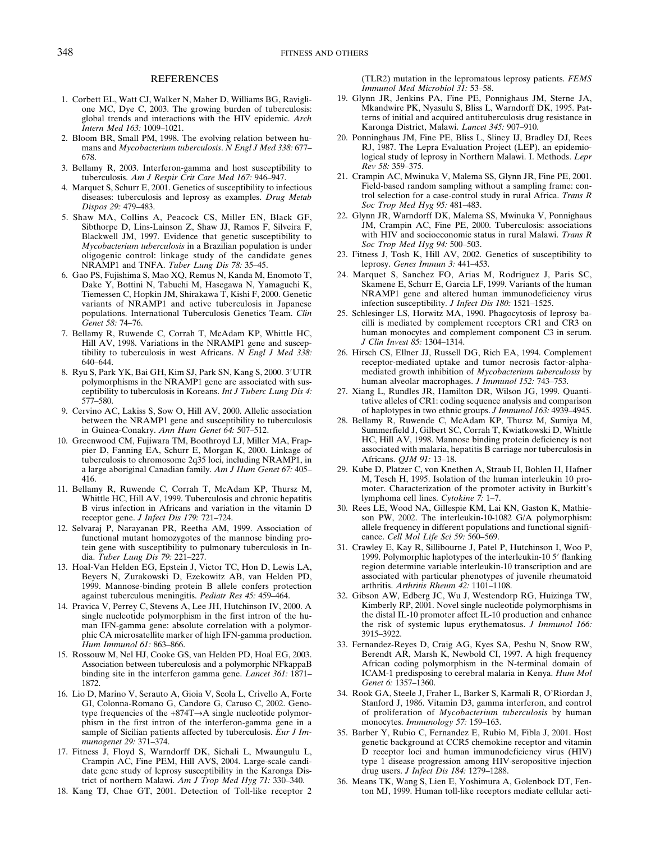#### REFERENCES

- 1. Corbett EL, Watt CJ, Walker N, Maher D, Williams BG, Raviglione MC, Dye C, 2003. The growing burden of tuberculosis: global trends and interactions with the HIV epidemic. *Arch Intern Med 163:* 1009–1021.
- 2. Bloom BR, Small PM, 1998. The evolving relation between humans and *Mycobacterium tuberculosis*. *N Engl J Med 338:* 677– 678.
- 3. Bellamy R, 2003. Interferon-gamma and host susceptibility to tuberculosis. *Am J Respir Crit Care Med 167:* 946–947.
- 4. Marquet S, Schurr E, 2001. Genetics of susceptibility to infectious diseases: tuberculosis and leprosy as examples. *Drug Metab Dispos 29:* 479–483.
- 5. Shaw MA, Collins A, Peacock CS, Miller EN, Black GF, Sibthorpe D, Lins-Lainson Z, Shaw JJ, Ramos F, Silveira F, Blackwell JM, 1997. Evidence that genetic susceptibility to *Mycobacterium tuberculosis* in a Brazilian population is under oligogenic control: linkage study of the candidate genes NRAMP1 and TNFA. *Tuber Lung Dis 78:* 35–45.
- 6. Gao PS, Fujishima S, Mao XQ, Remus N, Kanda M, Enomoto T, Dake Y, Bottini N, Tabuchi M, Hasegawa N, Yamaguchi K, Tiemessen C, Hopkin JM, Shirakawa T, Kishi F, 2000. Genetic variants of NRAMP1 and active tuberculosis in Japanese populations. International Tuberculosis Genetics Team. *Clin Genet 58:* 74–76.
- 7. Bellamy R, Ruwende C, Corrah T, McAdam KP, Whittle HC, Hill AV, 1998. Variations in the NRAMP1 gene and susceptibility to tuberculosis in west Africans. *N Engl J Med 338:* 640–644.
- 8. Ryu S, Park YK, Bai GH, Kim SJ, Park SN, Kang S, 2000. 3'UTR polymorphisms in the NRAMP1 gene are associated with susceptibility to tuberculosis in Koreans. *Int J Tuberc Lung Dis 4:* 577–580.
- 9. Cervino AC, Lakiss S, Sow O, Hill AV, 2000. Allelic association between the NRAMP1 gene and susceptibility to tuberculosis in Guinea-Conakry. *Ann Hum Genet 64:* 507–512.
- 10. Greenwood CM, Fujiwara TM, Boothroyd LJ, Miller MA, Frappier D, Fanning EA, Schurr E, Morgan K, 2000. Linkage of tuberculosis to chromosome 2q35 loci, including NRAMP1, in a large aboriginal Canadian family. *Am J Hum Genet 67:* 405– 416.
- 11. Bellamy R, Ruwende C, Corrah T, McAdam KP, Thursz M, Whittle HC, Hill AV, 1999. Tuberculosis and chronic hepatitis B virus infection in Africans and variation in the vitamin D receptor gene. *J Infect Dis 179:* 721–724.
- 12. Selvaraj P, Narayanan PR, Reetha AM, 1999. Association of functional mutant homozygotes of the mannose binding protein gene with susceptibility to pulmonary tuberculosis in India. *Tuber Lung Dis 79:* 221–227.
- 13. Hoal-Van Helden EG, Epstein J, Victor TC, Hon D, Lewis LA, Beyers N, Zurakowski D, Ezekowitz AB, van Helden PD, 1999. Mannose-binding protein B allele confers protection against tuberculous meningitis. *Pediatr Res 45:* 459–464.
- 14. Pravica V, Perrey C, Stevens A, Lee JH, Hutchinson IV, 2000. A single nucleotide polymorphism in the first intron of the human IFN-gamma gene: absolute correlation with a polymorphic CA microsatellite marker of high IFN-gamma production. *Hum Immunol 61:* 863–866.
- 15. Rossouw M, Nel HJ, Cooke GS, van Helden PD, Hoal EG, 2003. Association between tuberculosis and a polymorphic NFkappaB binding site in the interferon gamma gene. *Lancet 361:* 1871– 1872.
- 16. Lio D, Marino V, Serauto A, Gioia V, Scola L, Crivello A, Forte GI, Colonna-Romano G, Candore G, Caruso C, 2002. Genotype frequencies of the +874T→A single nucleotide polymorphism in the first intron of the interferon-gamma gene in a sample of Sicilian patients affected by tuberculosis. *Eur J Immunogenet 29:* 371–374.
- 17. Fitness J, Floyd S, Warndorff DK, Sichali L, Mwaungulu L, Crampin AC, Fine PEM, Hill AVS, 2004. Large-scale candidate gene study of leprosy susceptibility in the Karonga District of northern Malawi. *Am J Trop Med Hyg 71:* 330–340.
- 18. Kang TJ, Chae GT, 2001. Detection of Toll-like receptor 2

(TLR2) mutation in the lepromatous leprosy patients. *FEMS Immunol Med Microbiol 31:* 53–58.

- 19. Glynn JR, Jenkins PA, Fine PE, Ponnighaus JM, Sterne JA, Mkandwire PK, Nyasulu S, Bliss L, Warndorff DK, 1995. Patterns of initial and acquired antituberculosis drug resistance in Karonga District, Malawi. *Lancet 345:* 907–910.
- 20. Ponninghaus JM, Fine PE, Bliss L, Sliney IJ, Bradley DJ, Rees RJ, 1987. The Lepra Evaluation Project (LEP), an epidemiological study of leprosy in Northern Malawi. I. Methods. *Lepr Rev 58:* 359–375.
- 21. Crampin AC, Mwinuka V, Malema SS, Glynn JR, Fine PE, 2001. Field-based random sampling without a sampling frame: control selection for a case-control study in rural Africa. *Trans R Soc Trop Med Hyg 95:* 481–483.
- 22. Glynn JR, Warndorff DK, Malema SS, Mwinuka V, Ponnighaus JM, Crampin AC, Fine PE, 2000. Tuberculosis: associations with HIV and socioeconomic status in rural Malawi. *Trans R Soc Trop Med Hyg 94:* 500–503.
- 23. Fitness J, Tosh K, Hill AV, 2002. Genetics of susceptibility to leprosy. *Genes Immun 3:* 441–453.
- 24. Marquet S, Sanchez FO, Arias M, Rodriguez J, Paris SC, Skamene E, Schurr E, Garcia LF, 1999. Variants of the human NRAMP1 gene and altered human immunodeficiency virus infection susceptibility. *J Infect Dis 180:* 1521–1525.
- 25. Schlesinger LS, Horwitz MA, 1990. Phagocytosis of leprosy bacilli is mediated by complement receptors CR1 and CR3 on human monocytes and complement component C3 in serum. *J Clin Invest 85:* 1304–1314.
- 26. Hirsch CS, Ellner JJ, Russell DG, Rich EA, 1994. Complement receptor-mediated uptake and tumor necrosis factor-alphamediated growth inhibition of *Mycobacterium tuberculosis* by human alveolar macrophages. *J Immunol 152:* 743–753.
- 27. Xiang L, Rundles JR, Hamilton DR, Wilson JG, 1999. Quantitative alleles of CR1: coding sequence analysis and comparison of haplotypes in two ethnic groups. *J Immunol 163:* 4939–4945.
- 28. Bellamy R, Ruwende C, McAdam KP, Thursz M, Sumiya M, Summerfield J, Gilbert SC, Corrah T, Kwiatkowski D, Whittle HC, Hill AV, 1998. Mannose binding protein deficiency is not associated with malaria, hepatitis B carriage nor tuberculosis in Africans. *QJM 91:* 13–18.
- 29. Kube D, Platzer C, von Knethen A, Straub H, Bohlen H, Hafner M, Tesch H, 1995. Isolation of the human interleukin 10 promoter. Characterization of the promoter activity in Burkitt's lymphoma cell lines. *Cytokine 7:* 1–7.
- 30. Rees LE, Wood NA, Gillespie KM, Lai KN, Gaston K, Mathieson PW, 2002. The interleukin-10-1082 G/A polymorphism: allele frequency in different populations and functional significance. *Cell Mol Life Sci 59:* 560–569.
- 31. Crawley E, Kay R, Sillibourne J, Patel P, Hutchinson I, Woo P, 1999. Polymorphic haplotypes of the interleukin-105' flanking region determine variable interleukin-10 transcription and are associated with particular phenotypes of juvenile rheumatoid arthritis. *Arthritis Rheum 42:* 1101–1108.
- 32. Gibson AW, Edberg JC, Wu J, Westendorp RG, Huizinga TW, Kimberly RP, 2001. Novel single nucleotide polymorphisms in the distal IL-10 promoter affect IL-10 production and enhance the risk of systemic lupus erythematosus. *J Immunol 166:* 3915–3922.
- 33. Fernandez-Reyes D, Craig AG, Kyes SA, Peshu N, Snow RW, Berendt AR, Marsh K, Newbold CI, 1997. A high frequency African coding polymorphism in the N-terminal domain of ICAM-1 predisposing to cerebral malaria in Kenya. *Hum Mol Genet 6:* 1357–1360.
- 34. Rook GA, Steele J, Fraher L, Barker S, Karmali R, O'Riordan J, Stanford J, 1986. Vitamin D3, gamma interferon, and control of proliferation of *Mycobacterium tuberculosis* by human monocytes. *Immunology 57:* 159–163.
- 35. Barber Y, Rubio C, Fernandez E, Rubio M, Fibla J, 2001. Host genetic background at CCR5 chemokine receptor and vitamin D receptor loci and human immunodeficiency virus (HIV) type 1 disease progression among HIV-seropositive injection drug users. *J Infect Dis 184:* 1279–1288.
- 36. Means TK, Wang S, Lien E, Yoshimura A, Golenbock DT, Fenton MJ, 1999. Human toll-like receptors mediate cellular acti-